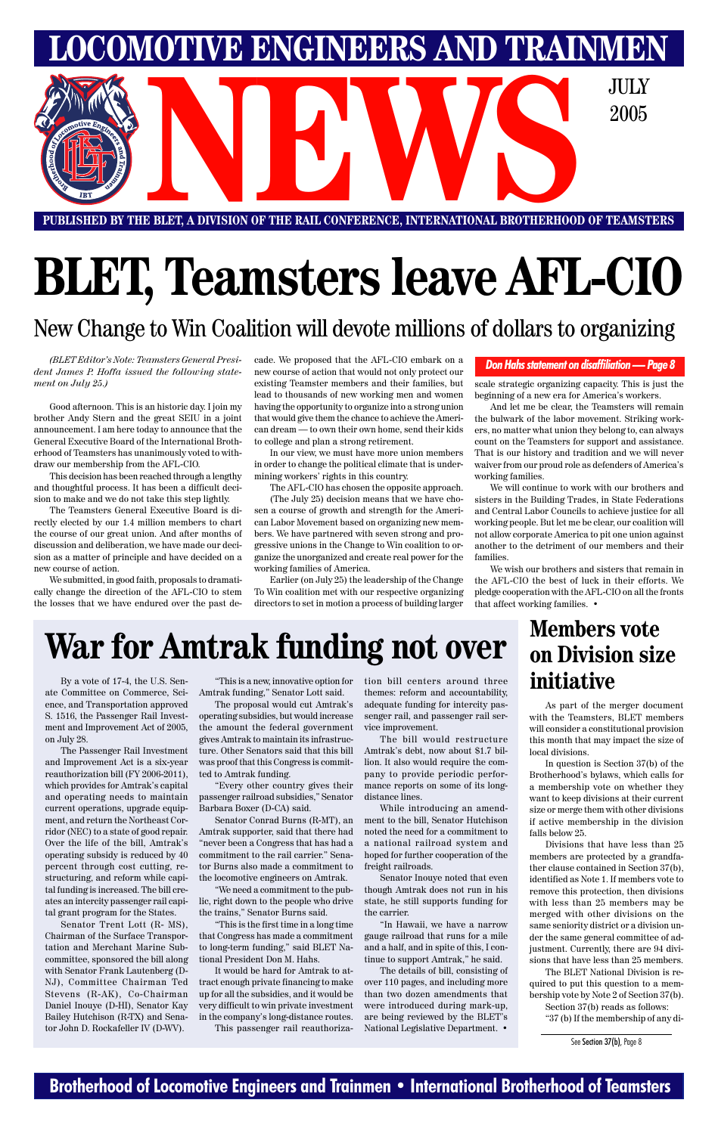#### **Brotherhood of Locomotive Engineers and Trainmen • International Brotherhood of Teamsters**

# **BLET, Teamsters leave AFL-CIO**

#### New Change to Win Coalition will devote millions of dollars to organizing

# **on Division size initiative**

*(BLET Editor's Note: Teamsters General President James P. Hoffa issued the following statement on July 25.)*

Good afternoon. This is an historic day. I join my brother Andy Stern and the great SEIU in a joint announcement. I am here today to announce that the General Executive Board of the International Brotherhood of Teamsters has unanimously voted to withdraw our membership from the AFL-CIO.

This decision has been reached through a lengthy and thoughtful process. It has been a difficult decision to make and we do not take this step lightly.

The Teamsters General Executive Board is directly elected by our 1.4 million members to chart the course of our great union. And after months of discussion and deliberation, we have made our decision as a matter of principle and have decided on a new course of action.

We submitted, in good faith, proposals to dramatically change the direction of the AFL-CIO to stem the losses that we have endured over the past decade. We proposed that the AFL-CIO embark on a new course of action that would not only protect our existing Teamster members and their families, but lead to thousands of new working men and women having the opportunity to organize into a strong union that would give them the chance to achieve the American dream — to own their own home, send their kids to college and plan a strong retirement.

In our view, we must have more union members in order to change the political climate that is undermining workers' rights in this country.

The AFL-CIO has chosen the opposite approach.

(The July 25) decision means that we have chosen a course of growth and strength for the American Labor Movement based on organizing new members. We have partnered with seven strong and progressive unions in the Change to Win coalition to organize the unorganized and create real power for the working families of America.

Earlier (on July 25) the leadership of the Change To Win coalition met with our respective organizing directors to set in motion a process of building larger scale strategic organizing capacity. This is just the beginning of a new era for America's workers.

And let me be clear, the Teamsters will remain the bulwark of the labor movement. Striking workers, no matter what union they belong to, can always count on the Teamsters for support and assistance. That is our history and tradition and we will never waiver from our proud role as defenders of America's working families.

We will continue to work with our brothers and sisters in the Building Trades, in State Federations and Central Labor Councils to achieve justice for all working people. But let me be clear, our coalition will not allow corporate America to pit one union against another to the detriment of our members and their families.

We wish our brothers and sisters that remain in the AFL-CIO the best of luck in their efforts. We pledge cooperation with the AFL-CIO on all the fronts that affect working families. •

# **War for Amtrak funding not over** Members vote

By a vote of 17-4, the U.S. Senate Committee on Commerce, Science, and Transportation approved S. 1516, the Passenger Rail Investment and Improvement Act of 2005, on July 28.

**PUBLISHED BY THE BLET, A DIVISION OF THE RAIL CONFERENCE, INTERNATIONAL BROTHERHOOD OF TEAMSTERS** E BLET, A DIVISION OF THE RAIL CONFERENCE, INTERNATIONAL BROTHERHOOD OF TEAMST

The Passenger Rail Investment and Improvement Act is a six-year reauthorization bill (FY 2006-2011), which provides for Amtrak's capital and operating needs to maintain current operations, upgrade equipment, and return the Northeast Corridor (NEC) to a state of good repair. Over the life of the bill, Amtrak's operating subsidy is reduced by 40 percent through cost cutting, restructuring, and reform while capital funding is increased. The bill creates an intercity passenger rail capital grant program for the States. Senator Trent Lott (R- MS), Chairman of the Surface Transportation and Merchant Marine Subcommittee, sponsored the bill along with Senator Frank Lautenberg (D-NJ), Committee Chairman Ted Stevens (R-AK), Co-Chairman Daniel Inouye (D-HI), Senator Kay Bailey Hutchison (R-TX) and Senator John D. Rockafeller IV (D-WV).

"This is a new, innovative option for Amtrak funding," Senator Lott said.

The proposal would cut Amtrak's operating subsidies, but would increase the amount the federal government gives Amtrak to maintain its infrastructure. Other Senators said that this bill was proof that this Congress is committed to Amtrak funding.

"Every other country gives their passenger railroad subsidies," Senator Barbara Boxer (D-CA) said.

Senator Conrad Burns (R-MT), an Amtrak supporter, said that there had noted the need for a commitment to "never been a Congress that has had a commitment to the rail carrier." Senator Burns also made a commitment to the locomotive engineers on Amtrak.

"We need a commitment to the public, right down to the people who drive the trains," Senator Burns said.

"This is the first time in a long time that Congress has made a commitment to long-term funding," said BLET National President Don M. Hahs.

It would be hard for Amtrak to attract enough private financing to make up for all the subsidies, and it would be very difficult to win private investment in the company's long-distance routes. This passenger rail reauthorization bill centers around three themes: reform and accountability, adequate funding for intercity passenger rail, and passenger rail service improvement.

The bill would restructure Amtrak's debt, now about \$1.7 billion. It also would require the company to provide periodic performance reports on some of its longdistance lines.

While introducing an amendment to the bill, Senator Hutchison a national railroad system and hoped for further cooperation of the freight railroads.

Senator Inouye noted that even though Amtrak does not run in his state, he still supports funding for the carrier.

"In Hawaii, we have a narrow gauge railroad that runs for a mile and a half, and in spite of this, I continue to support Amtrak," he said.

The details of bill, consisting of over 110 pages, and including more than two dozen amendments that were introduced during mark-up, are being reviewed by the BLET's National Legislative Department. •

As part of the merger document with the Teamsters, BLET members will consider a constitutional provision this month that may impact the size of local divisions.

In question is Section 37(b) of the Brotherhood's bylaws, which calls for a membership vote on whether they want to keep divisions at their current size or merge them with other divisions if active membership in the division falls below 25.

Divisions that have less than 25 members are protected by a grandfather clause contained in Section 37(b), identified as Note 1. If members vote to remove this protection, then divisions with less than 25 members may be merged with other divisions on the same seniority district or a division under the same general committee of adjustment. Currently, there are 94 divisions that have less than 25 members.

The BLET National Division is required to put this question to a membership vote by Note 2 of Section 37(b). Section 37(b) reads as follows: "37 (b) If the membership of any di-

See Section 37(b), Page 8

#### *Don Hahs statement on disaffiliation — Page 8*

**LOMOTIVE ENGINEERS AND TRAINMEN** 

2005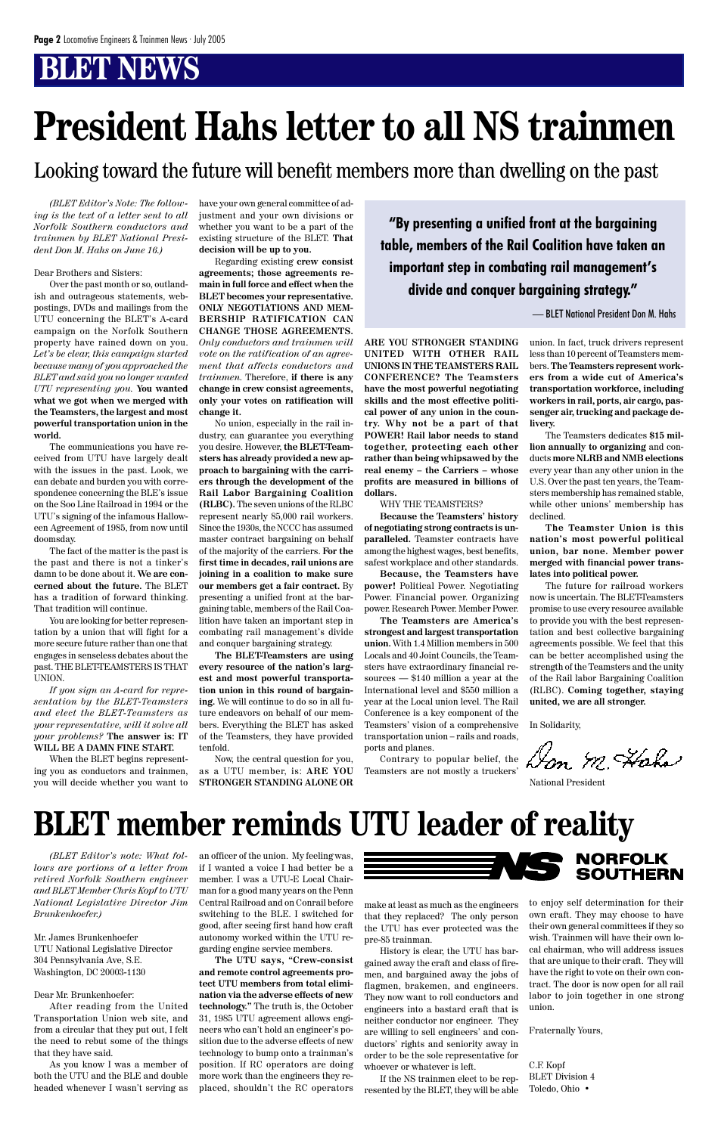*(BLET Editor's Note: The following is the text of a letter sent to all Norfolk Southern conductors and trainmen by BLET National President Don M. Hahs on June 16.)*

#### Dear Brothers and Sisters:

Over the past month or so, outlandish and outrageous statements, webpostings, DVDs and mailings from the UTU concerning the BLET's A-card campaign on the Norfolk Southern property have rained down on you. *Let's be clear, this campaign started because many of you approached the BLET and said you no longer wanted UTU representing you.* **You wanted what we got when we merged with the Teamsters, the largest and most powerful transportation union in the world.**

The communications you have received from UTU have largely dealt with the issues in the past. Look, we can debate and burden you with correspondence concerning the BLE's issue on the Soo Line Railroad in 1994 or the UTU's signing of the infamous Halloween Agreement of 1985, from now until doomsday.

The fact of the matter is the past is the past and there is not a tinker's damn to be done about it. **We are concerned about the future.** The BLET has a tradition of forward thinking. That tradition will continue.

You are looking for better representation by a union that will fight for a more secure future rather than one that engages in senseless debates about the past. THE BLET-TEAMSTERS IS THAT UNION.

*If you sign an A-card for representation by the BLET-Teamsters and elect the BLET-Teamsters as your representative, will it solve all your problems?* **The answer is: IT WILL BE A DAMN FINE START.**

When the BLET begins representing you as conductors and trainmen, you will decide whether you want to have your own general committee of adjustment and your own divisions or whether you want to be a part of the existing structure of the BLET. **That decision will be up to you.**

Regarding existing **crew consist agreements; those agreements remain in full force and effect when the BLET becomes your representative. ONLY NEGOTIATIONS AND MEM-BERSHIP RATIFICATION CAN CHANGE THOSE AGREEMENTS.** *Only conductors and trainmen will vote on the ratification of an agreement that affects conductors and trainmen.* Therefore, **if there is any change in crew consist agreements, only your votes on ratification will change it.**

No union, especially in the rail industry, can guarantee you everything you desire. However, **the BLET-Teamsters has already provided a new approach to bargaining with the carriers through the development of the Rail Labor Bargaining Coalition (RLBC).** The seven unions of the RLBC represent nearly 85,000 rail workers. Since the 1930s, the NCCC has assumed master contract bargaining on behalf of the majority of the carriers. **For the first time in decades, rail unions are joining in a coalition to make sure our members get a fair contract.** By presenting a unified front at the bargaining table, members of the Rail Coalition have taken an important step in combating rail management's divide and conquer bargaining strategy.

**The BLET-Teamsters are using every resource of the nation's largest and most powerful transportation union in this round of bargaining.** We will continue to do so in all future endeavors on behalf of our members. Everything the BLET has asked of the Teamsters, they have provided tenfold.

Now, the central question for you, as a UTU member, is: **ARE YOU STRONGER STANDING ALONE OR**

**ARE YOU STRONGER STANDING UNITED WITH OTHER RAIL UNIONS IN THE TEAMSTERS RAIL CONFERENCE? The Teamsters have the most powerful negotiating skills and the most effective political power of any union in the country. Why not be a part of that POWER! Rail labor needs to stand together, protecting each other rather than being whipsawed by the real enemy – the Carriers – whose profits are measured in billions of dollars.**

WHY THE TEAMSTERS?

**Because the Teamsters' history of negotiating strong contracts is unparalleled.** Teamster contracts have among the highest wages, best benefits, safest workplace and other standards.

**Because, the Teamsters have power!** Political Power. Negotiating Power. Financial power. Organizing power. Research Power. Member Power.

**The Teamsters are America's strongest and largest transportation union.** With 1.4 Million members in 500 Locals and 40 Joint Councils, the Teamsters have extraordinary financial resources — \$140 million a year at the International level and \$550 million a year at the Local union level. The Rail Conference is a key component of the Teamsters' vision of a comprehensive transportation union – rails and roads, ports and planes.

Contrary to popular belief, the Teamsters are not mostly a truckers'

union. In fact, truck drivers represent less than 10 percent of Teamsters members. **The Teamsters represent workers from a wide cut of America's transportation workforce, including workers in rail, ports, air cargo, passenger air, trucking and package delivery.**

The Teamsters dedicates **\$15 million annually to organizing** and conducts **more NLRB and NMB elections** every year than any other union in the U.S. Over the past ten years, the Teamsters membership has remained stable, while other unions' membership has declined.

**The Teamster Union is this nation's most powerful political union, bar none. Member power merged with financial power translates into political power.**

The future for railroad workers now is uncertain. The BLET-Teamsters promise to use every resource available to provide you with the best representation and best collective bargaining agreements possible. We feel that this can be better accomplished using the strength of the Teamsters and the unity of the Rail labor Bargaining Coalition (RLBC). **Coming together, staying united, we are all stronger.**

In Solidarity,

Don M. Haha

National President

# **President Hahs letter to all NS trainmen**

**"By presenting a unified front at the bargaining table, members of the Rail Coalition have taken an important step in combating rail management's divide and conquer bargaining strategy."**

— BLET National President Don M. Hahs

*(BLET Editor's note: What follows are portions of a letter from retired Norfolk Southern engineer and BLET Member Chris Kopf to UTU National Legislative Director Jim Brunkenhoefer.)*

Mr. James Brunkenhoefer UTU National Legislative Director 304 Pennsylvania Ave, S.E. Washington, DC 20003-1130

#### Dear Mr. Brunkenhoefer:

After reading from the United Transportation Union web site, and from a circular that they put out, I felt the need to rebut some of the things that they have said.

As you know I was a member of both the UTU and the BLE and double headed whenever I wasn't serving as an officer of the union. My feeling was, if I wanted a voice I had better be a member. I was a UTU-E Local Chairman for a good many years on the Penn Central Railroad and on Conrail before switching to the BLE. I switched for good, after seeing first hand how craft autonomy worked within the UTU regarding engine service members.

**The UTU says, "Crew-consist and remote control agreements protect UTU members from total elimination via the adverse effects of new technology."** The truth is, the October 31, 1985 UTU agreement allows engineers who can't hold an engineer's position due to the adverse effects of new technology to bump onto a trainman's position. If RC operators are doing more work than the engineers they replaced, shouldn't the RC operators



make at least as much as the engineers that they replaced? The only person the UTU has ever protected was the pre-85 trainman.

History is clear, the UTU has bargained away the craft and class of firemen, and bargained away the jobs of flagmen, brakemen, and engineers. They now want to roll conductors and engineers into a bastard craft that is neither conductor nor engineer. They are willing to sell engineers' and conductors' rights and seniority away in order to be the sole representative for whoever or whatever is left.

If the NS trainmen elect to be represented by the BLET, they will be able to enjoy self determination for their own craft. They may choose to have their own general committees if they so wish. Trainmen will have their own local chairman, who will address issues that are unique to their craft. They will have the right to vote on their own contract. The door is now open for all rail labor to join together in one strong union.

Fraternally Yours,

C.F. Kopf BLET Division 4 Toledo, Ohio •

# **BLET member reminds UTU leader of reality**

Looking toward the future will benefit members more than dwelling on the past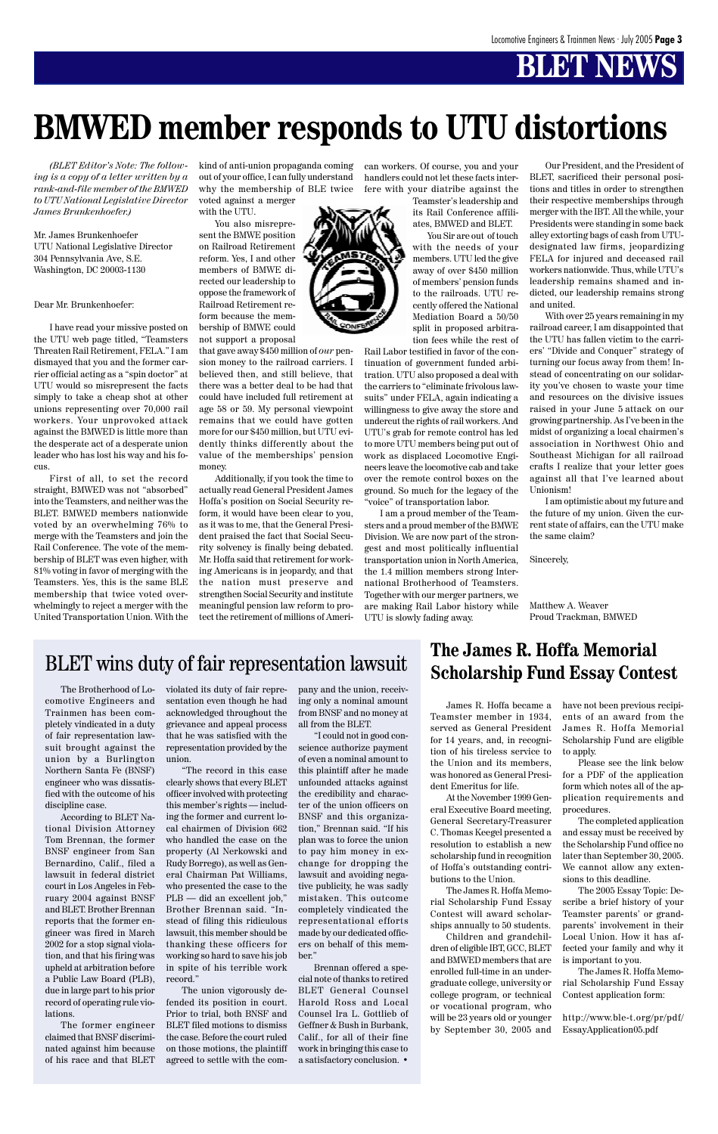*(BLET Editor's Note: The following is a copy of a letter written by a rank-and-file member of the BMWED to UTU National Legislative Director James Brunkenhoefer.)*

Mr. James Brunkenhoefer UTU National Legislative Director 304 Pennsylvania Ave, S.E. Washington, DC 20003-1130

Dear Mr. Brunkenhoefer:

I have read your missive posted on the UTU web page titled, "Teamsters Threaten Rail Retirement, FELA." I am dismayed that you and the former carrier official acting as a "spin doctor" at UTU would so misrepresent the facts simply to take a cheap shot at other unions representing over 70,000 rail workers. Your unprovoked attack against the BMWED is little more than the desperate act of a desperate union leader who has lost his way and his focus.

First of all, to set the record straight, BMWED was not "absorbed" into the Teamsters, and neither was the BLET. BMWED members nationwide voted by an overwhelming 76% to merge with the Teamsters and join the Rail Conference. The vote of the membership of BLET was even higher, with 81% voting in favor of merging with the Teamsters. Yes, this is the same BLE membership that twice voted overwhelmingly to reject a merger with the United Transportation Union. With the kind of anti-union propaganda coming out of your office, I can fully understand why the membership of BLE twice voted against a merger

with the UTU. You also misrepresent the BMWE position on Railroad Retirement reform. Yes, I and other members of BMWE directed our leadership to oppose the framework of Railroad Retirement reform because the membership of BMWE could not support a proposal

that gave away \$450 million of *our* pension money to the railroad carriers. I believed then, and still believe, that there was a better deal to be had that could have included full retirement at age 58 or 59. My personal viewpoint remains that we could have gotten more for our \$450 million, but UTU evidently thinks differently about the value of the memberships' pension money.

Additionally, if you took the time to actually read General President James Hoffa's position on Social Security reform, it would have been clear to you, as it was to me, that the General President praised the fact that Social Security solvency is finally being debated. Mr. Hoffa said that retirement for working Americans is in jeopardy, and that the nation must preserve and strengthen Social Security and institute meaningful pension law reform to protect the retirement of millions of American workers. Of course, you and your handlers could not let these facts interfere with your diatribe against the

> Teamster's leadership and its Rail Conference affiliates, BMWED and BLET.

> You Sir are out of touch with the needs of your members. UTU led the give away of over \$450 million of members' pension funds to the railroads. UTU recently offered the National Mediation Board a 50/50 split in proposed arbitration fees while the rest of

Rail Labor testified in favor of the continuation of government funded arbitration. UTU also proposed a deal with the carriers to "eliminate frivolous lawsuits" under FELA, again indicating a willingness to give away the store and undercut the rights of rail workers. And UTU's grab for remote control has led to more UTU members being put out of work as displaced Locomotive Engineers leave the locomotive cab and take over the remote control boxes on the ground. So much for the legacy of the "voice" of transportation labor.

I am a proud member of the Teamsters and a proud member of the BMWE Division. We are now part of the strongest and most politically influential transportation union in North America, the 1.4 million members strong International Brotherhood of Teamsters. Together with our merger partners, we are making Rail Labor history while UTU is slowly fading away.

Our President, and the President of BLET, sacrificed their personal positions and titles in order to strengthen their respective memberships through merger with the IBT. All the while, your Presidents were standing in some back alley extorting bags of cash from UTUdesignated law firms, jeopardizing FELA for injured and deceased rail workers nationwide. Thus, while UTU's leadership remains shamed and indicted, our leadership remains strong and united.

With over 25 years remaining in my railroad career, I am disappointed that the UTU has fallen victim to the carriers' "Divide and Conquer" strategy of turning our focus away from them! Instead of concentrating on our solidarity you've chosen to waste your time and resources on the divisive issues raised in your June 5 attack on our growing partnership. As I've been in the midst of organizing a local chairmen's association in Northwest Ohio and Southeast Michigan for all railroad crafts I realize that your letter goes against all that I've learned about Unionism!

I am optimistic about my future and the future of my union. Given the current state of affairs, can the UTU make the same claim?

Sincerely,

Matthew A. Weaver Proud Trackman, BMWED

## **BLET** wins duty of fair representation lawsuit<br>**The James R. Hoffa Memorial**<br>**Scholarship Fund Fasay Context**

## **BMWED member responds to UTU distortions**

The Brotherhood of Locomotive Engineers and Trainmen has been completely vindicated in a duty of fair representation lawsuit brought against the union by a Burlington Northern Santa Fe (BNSF) engineer who was dissatisfied with the outcome of his discipline case.

According to BLET National Division Attorney

Tom Brennan, the former BNSF engineer from San Bernardino, Calif., filed a lawsuit in federal district court in Los Angeles in February 2004 against BNSF and BLET. Brother Brennan reports that the former engineer was fired in March 2002 for a stop signal violation, and that his firing was upheld at arbitration before a Public Law Board (PLB), due in large part to his prior record of operating rule violations.

The former engineer claimed that BNSF discriminated against him because of his race and that BLET violated its duty of fair representation even though he had acknowledged throughout the grievance and appeal process that he was satisfied with the representation provided by the union.

"The record in this case clearly shows that every BLET officer involved with protecting this member's rights — including the former and current local chairmen of Division 662 who handled the case on the property (Al Nerkowski and Rudy Borrego), as well as General Chairman Pat Williams, who presented the case to the PLB — did an excellent job," Brother Brennan said. "Instead of filing this ridiculous lawsuit, this member should be thanking these officers for working so hard to save his job in spite of his terrible work record."

The union vigorously defended its position in court. Prior to trial, both BNSF and BLET filed motions to dismiss the case. Before the court ruled on those motions, the plaintiff agreed to settle with the company and the union, receiving only a nominal amount from BNSF and no money at all from the BLET.

"I could not in good conscience authorize payment of even a nominal amount to this plaintiff after he made unfounded attacks against the credibility and character of the union officers on BNSF and this organization," Brennan said. "If his plan was to force the union to pay him money in exchange for dropping the lawsuit and avoiding negative publicity, he was sadly mistaken. This outcome completely vindicated the representational efforts made by our dedicated officers on behalf of this member." Brennan offered a special note of thanks to retired BLET General Counsel Harold Ross and Local Counsel Ira L. Gottlieb of Geffner & Bush in Burbank, Calif., for all of their fine work in bringing this case to a satisfactory conclusion. •

# **Scholarship Fund Essay Contest**

James R. Hoffa became a Teamster member in 1934, served as General President for 14 years, and, in recognition of his tireless service to the Union and its members, was honored as General President Emeritus for life.

At the November 1999 General Executive Board meeting, General Secretary-Treasurer C. Thomas Keegel presented a resolution to establish a new scholarship fund in recognition of Hoffa's outstanding contributions to the Union.

The James R. Hoffa Memorial Scholarship Fund Essay Contest will award scholarships annually to 50 students.

Children and grandchildren of eligible IBT, GCC, BLET and BMWED members that are enrolled full-time in an undergraduate college, university or college program, or technical or vocational program, who will be 23 years old or younger by September 30, 2005 and have not been previous recipients of an award from the James R. Hoffa Memorial Scholarship Fund are eligible to apply.

Please see the link below for a PDF of the application form which notes all of the application requirements and procedures.

The completed application and essay must be received by the Scholarship Fund office no later than September 30, 2005. We cannot allow any extensions to this deadline.



The 2005 Essay Topic: Describe a brief history of your Teamster parents' or grandparents' involvement in their Local Union. How it has affected your family and why it is important to you.

The James R. Hoffa Memorial Scholarship Fund Essay Contest application form:

http://www.ble-t.org/pr/pdf/ EssayApplication05.pdf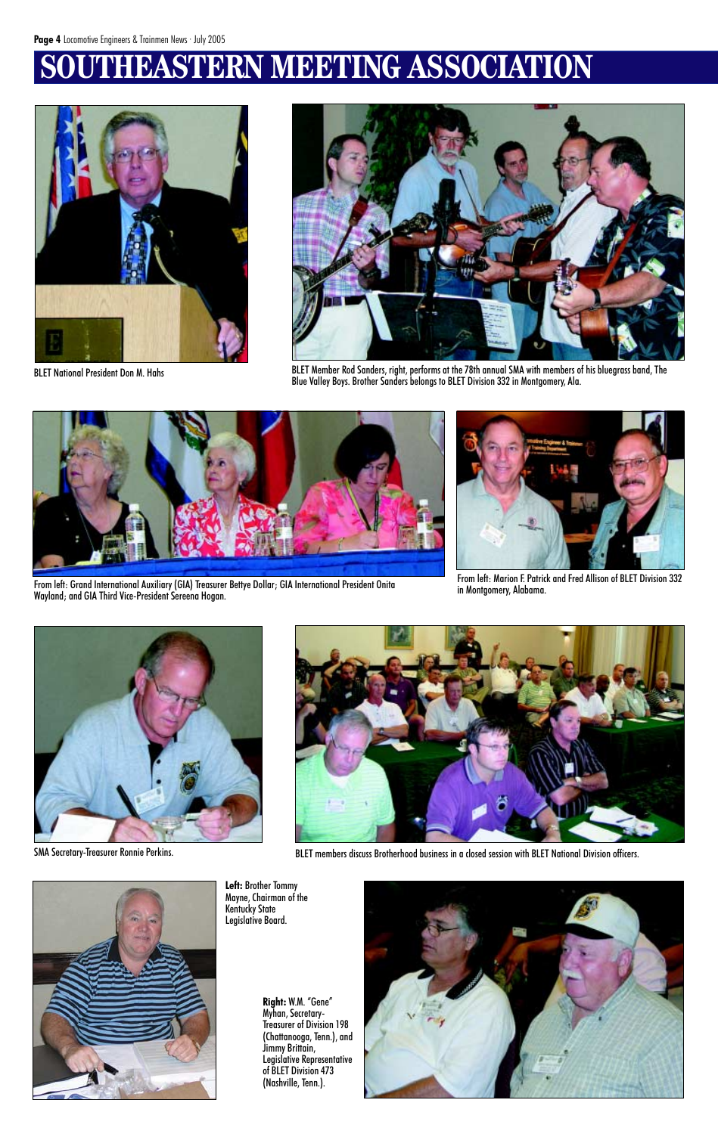## **SOUTHEASTERN MEETING ASSOCIATION**





BLET National President Don M. Hahs **BLET Member Rod Sanders, right, performs** at the 78th annual SMA with members of his bluegrass band, The Blue Valley Boys. Brother Sanders belongs to BLET Division 332 in Montgomery, Ala.



From left: Grand International Auxiliary (GIA) Treasurer Bettye Dollar; GIA International President Onita Wayland; and GIA Third Vice-President Sereena Hogan.



From left: Marion F. Patrick and Fred Allison of BLET Division 332 in Montgomery, Alabama.







SMA Secretary-Treasurer Ronnie Perkins. The members discuss Brotherhood business in a closed session with BLET National Division officers.



**Left:** Brother Tommy Mayne, Chairman of the Kentucky State Legislative Board.

> **Right:** W.M. "Gene" Myhan, Secretary-Treasurer of Division 198 (Chattanooga, Tenn.), and Jimmy Brittain, Legislative Representative of BLET Division 473 (Nashville, Tenn.).

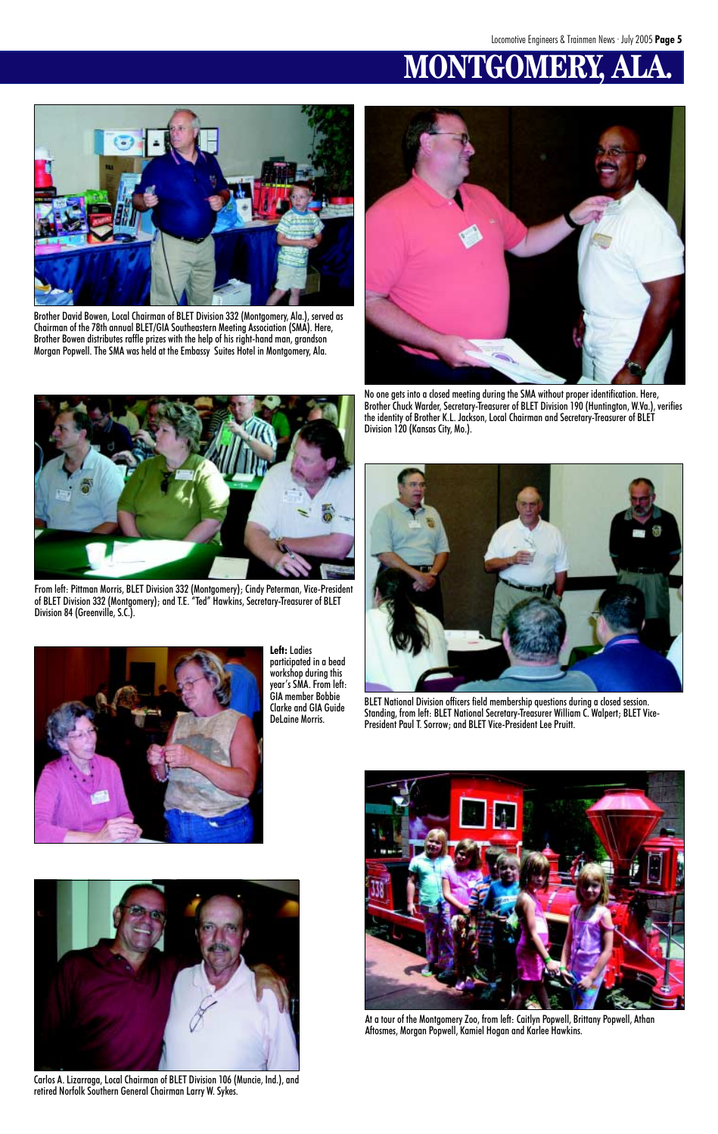# **MONTGOMERY**



**Left:** Ladies participated in a bead workshop during this year's SMA. From left: GIA member Bobbie Clarke and GIA Guide DeLaine Morris.



Carlos A. Lizarraga, Local Chairman of BLET Division 106 (Muncie, Ind.), and retired Norfolk Southern General Chairman Larry W. Sykes.



Brother David Bowen, Local Chairman of BLET Division 332 (Montgomery, Ala.), served as Chairman of the 78th annual BLET/GIA Southeastern Meeting Association (SMA). Here, Brother Bowen distributes raffle prizes with the help of his right-hand man, grandson Morgan Popwell. The SMA was held at the Embassy Suites Hotel in Montgomery, Ala.



From left: Pittman Morris, BLET Division 332 (Montgomery); Cindy Peterman, Vice-President of BLET Division 332 (Montgomery); and T.E. "Ted" Hawkins, Secretary-Treasurer of BLET Division 84 (Greenville, S.C.).



No one gets into a closed meeting during the SMA without proper identification. Here, Brother Chuck Warder, Secretary-Treasurer of BLET Division 190 (Huntington, W.Va.), verifies the identity of Brother K.L. Jackson, Local Chairman and Secretary-Treasurer of BLET Division 120 (Kansas City, Mo.).



BLET National Division officers field membership questions during a closed session. Standing, from left: BLET National Secretary-Treasurer William C. Walpert; BLET Vice-President Paul T. Sorrow; and BLET Vice-President Lee Pruitt.





At a tour of the Montgomery Zoo, from left: Caitlyn Popwell, Brittany Popwell, Athan Aftosmes, Morgan Popwell, Kamiel Hogan and Karlee Hawkins.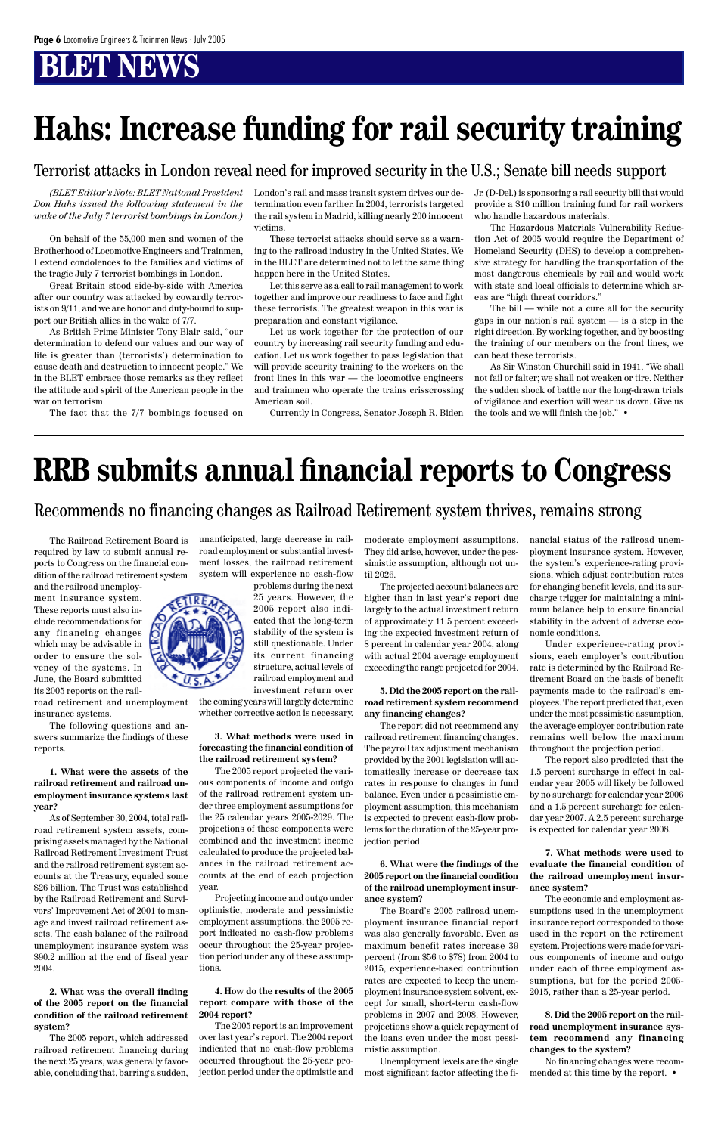*(BLET Editor's Note: BLET National President Don Hahs issued the following statement in the wake of the July 7 terrorist bombings in London.)*

On behalf of the 55,000 men and women of the Brotherhood of Locomotive Engineers and Trainmen, I extend condolences to the families and victims of the tragic July 7 terrorist bombings in London.

Great Britain stood side-by-side with America after our country was attacked by cowardly terrorists on 9/11, and we are honor and duty-bound to support our British allies in the wake of 7/7.

As British Prime Minister Tony Blair said, "our determination to defend our values and our way of life is greater than (terrorists') determination to cause death and destruction to innocent people." We in the BLET embrace those remarks as they reflect the attitude and spirit of the American people in the war on terrorism.

The fact that the 7/7 bombings focused on

London's rail and mass transit system drives our determination even farther. In 2004, terrorists targeted the rail system in Madrid, killing nearly 200 innocent victims.

These terrorist attacks should serve as a warning to the railroad industry in the United States. We in the BLET are determined not to let the same thing happen here in the United States.

Let this serve as a call to rail management to work together and improve our readiness to face and fight these terrorists. The greatest weapon in this war is preparation and constant vigilance.

Let us work together for the protection of our country by increasing rail security funding and education. Let us work together to pass legislation that will provide security training to the workers on the front lines in this war — the locomotive engineers and trainmen who operate the trains crisscrossing American soil.

Currently in Congress, Senator Joseph R. Biden

Jr. (D-Del.) is sponsoring a rail security bill that would provide a \$10 million training fund for rail workers who handle hazardous materials.

The Hazardous Materials Vulnerability Reduction Act of 2005 would require the Department of Homeland Security (DHS) to develop a comprehensive strategy for handling the transportation of the most dangerous chemicals by rail and would work with state and local officials to determine which areas are "high threat corridors."

The bill — while not a cure all for the security gaps in our nation's rail system — is a step in the right direction. By working together, and by boosting the training of our members on the front lines, we can beat these terrorists.

As Sir Winston Churchill said in 1941, "We shall not fail or falter; we shall not weaken or tire. Neither the sudden shock of battle nor the long-drawn trials of vigilance and exertion will wear us down. Give us the tools and we will finish the job." •

# **Hahs: Increase funding for rail security training**

Terrorist attacks in London reveal need for improved security in the U.S.; Senate bill needs support

## **RRB submits annual financial reports to Congress**

The Railroad Retirement Board is required by law to submit annual reports to Congress on the financial condition of the railroad retirement system

and the railroad unemployment insurance system. These reports must also include recommendations for any financing changes which may be advisable in order to ensure the solvency of the systems. In June, the Board submitted its 2005 reports on the rail-

road retirement and unemployment insurance systems.

The following questions and answers summarize the findings of these reports.

**1. What were the assets of the railroad retirement and railroad unemployment insurance systems last year?**

As of September 30, 2004, total railroad retirement system assets, com-

prising assets managed by the National Railroad Retirement Investment Trust and the railroad retirement system accounts at the Treasury, equaled some \$26 billion. The Trust was established by the Railroad Retirement and Survivors' Improvement Act of 2001 to manage and invest railroad retirement assets. The cash balance of the railroad unemployment insurance system was \$90.2 million at the end of fiscal year 2004.

**2. What was the overall finding of the 2005 report on the financial condition of the railroad retirement system?**

The 2005 report, which addressed railroad retirement financing during the next 25 years, was generally favorable, concluding that, barring a sudden, unanticipated, large decrease in railroad employment or substantial investment losses, the railroad retirement system will experience no cash-flow

problems during the next 25 years. However, the 2005 report also indicated that the long-term stability of the system is still questionable. Under its current financing structure, actual levels of railroad employment and investment return over

the coming years will largely determine whether corrective action is necessary.

#### **3. What methods were used in forecasting the financial condition of the railroad retirement system?**

The 2005 report projected the various components of income and outgo of the railroad retirement system under three employment assumptions for the 25 calendar years 2005-2029. The projections of these components were combined and the investment income calculated to produce the projected balances in the railroad retirement accounts at the end of each projection year. Projecting income and outgo under optimistic, moderate and pessimistic employment assumptions, the 2005 report indicated no cash-flow problems occur throughout the 25-year projection period under any of these assumptions.

**4. How do the results of the 2005 report compare with those of the 2004 report?**

The 2005 report is an improvement over last year's report. The 2004 report indicated that no cash-flow problems occurred throughout the 25-year projection period under the optimistic and moderate employment assumptions. They did arise, however, under the pessimistic assumption, although not until 2026.

The projected account balances are higher than in last year's report due largely to the actual investment return of approximately 11.5 percent exceeding the expected investment return of 8 percent in calendar year 2004, along with actual 2004 average employment exceeding the range projected for 2004.

#### **5. Did the 2005 report on the railroad retirement system recommend any financing changes?**

The report did not recommend any railroad retirement financing changes. The payroll tax adjustment mechanism provided by the 2001 legislation will automatically increase or decrease tax rates in response to changes in fund balance. Even under a pessimistic employment assumption, this mechanism is expected to prevent cash-flow problems for the duration of the 25-year pro-

jection period.

**6. What were the findings of the 2005 report on the financial condition of the railroad unemployment insurance system?**

The Board's 2005 railroad unemployment insurance financial report was also generally favorable. Even as maximum benefit rates increase 39 percent (from \$56 to \$78) from 2004 to 2015, experience-based contribution rates are expected to keep the unemployment insurance system solvent, except for small, short-term cash-flow problems in 2007 and 2008. However, projections show a quick repayment of the loans even under the most pessimistic assumption.

Unemployment levels are the single most significant factor affecting the financial status of the railroad unemployment insurance system. However, the system's experience-rating provisions, which adjust contribution rates for changing benefit levels, and its surcharge trigger for maintaining a minimum balance help to ensure financial stability in the advent of adverse economic conditions.

Under experience-rating provisions, each employer's contribution rate is determined by the Railroad Retirement Board on the basis of benefit payments made to the railroad's employees. The report predicted that, even under the most pessimistic assumption, the average employer contribution rate remains well below the maximum throughout the projection period.

The report also predicted that the 1.5 percent surcharge in effect in calendar year 2005 will likely be followed by no surcharge for calendar year 2006 and a 1.5 percent surcharge for calendar year 2007. A 2.5 percent surcharge is expected for calendar year 2008.



**7. What methods were used to evaluate the financial condition of the railroad unemployment insurance system?**

The economic and employment assumptions used in the unemployment insurance report corresponded to those used in the report on the retirement system. Projections were made for various components of income and outgo under each of three employment assumptions, but for the period 2005- 2015, rather than a 25-year period.

**8. Did the 2005 report on the railroad unemployment insurance system recommend any financing changes to the system?**

No financing changes were recommended at this time by the report. •

#### Recommends no financing changes as Railroad Retirement system thrives, remains strong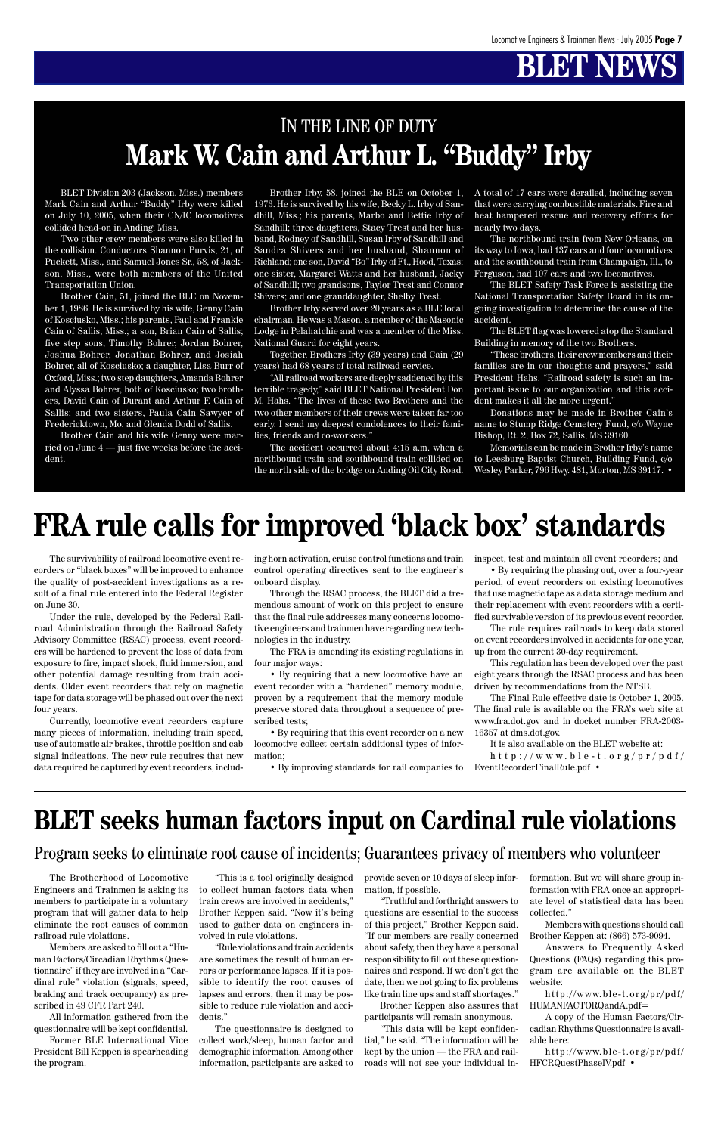The survivability of railroad locomotive event recorders or "black boxes" will be improved to enhance the quality of post-accident investigations as a result of a final rule entered into the Federal Register on June 30.

Under the rule, developed by the Federal Railroad Administration through the Railroad Safety Advisory Committee (RSAC) process, event recorders will be hardened to prevent the loss of data from exposure to fire, impact shock, fluid immersion, and other potential damage resulting from train accidents. Older event recorders that rely on magnetic tape for data storage will be phased out over the next four years.

Currently, locomotive event recorders capture many pieces of information, including train speed, use of automatic air brakes, throttle position and cab signal indications. The new rule requires that new data required be captured by event recorders, including horn activation, cruise control functions and train control operating directives sent to the engineer's onboard display.

Through the RSAC process, the BLET did a tremendous amount of work on this project to ensure that the final rule addresses many concerns locomotive engineers and trainmen have regarding new technologies in the industry.

> http://www.ble-t.org/pr/pdf/ EventRecorderFinalRule.pdf •

The FRA is amending its existing regulations in four major ways:

• By requiring that a new locomotive have an event recorder with a "hardened" memory module, proven by a requirement that the memory module preserve stored data throughout a sequence of prescribed tests;

• By requiring that this event recorder on a new locomotive collect certain additional types of information;

• By improving standards for rail companies to

inspect, test and maintain all event recorders; and

• By requiring the phasing out, over a four-year period, of event recorders on existing locomotives that use magnetic tape as a data storage medium and their replacement with event recorders with a certified survivable version of its previous event recorder.

The rule requires railroads to keep data stored on event recorders involved in accidents for one year, up from the current 30-day requirement.

This regulation has been developed over the past eight years through the RSAC process and has been driven by recommendations from the NTSB.

The Final Rule effective date is October 1, 2005. The final rule is available on the FRA's web site at www.fra.dot.gov and in docket number FRA-2003- 16357 at dms.dot.gov.

It is also available on the BLET website at:

## **FRA rule calls for improved 'black box' standards**

BLET Division 203 (Jackson, Miss.) members Mark Cain and Arthur "Buddy" Irby were killed on July 10, 2005, when their CN/IC locomotives collided head-on in Anding, Miss.

Two other crew members were also killed in the collision. Conductors Shannon Purvis, 21, of Puckett, Miss., and Samuel Jones Sr., 58, of Jackson, Miss., were both members of the United Transportation Union.

Brother Cain, 51, joined the BLE on November 1, 1986. He is survived by his wife, Genny Cain of Kosciusko, Miss.; his parents, Paul and Frankie Cain of Sallis, Miss.; a son, Brian Cain of Sallis; five step sons, Timothy Bohrer, Jordan Bohrer, Joshua Bohrer, Jonathan Bohrer, and Josiah Bohrer, all of Kosciusko; a daughter, Lisa Burr of Oxford, Miss.; two step daughters, Amanda Bohrer and Alyssa Bohrer, both of Kosciusko; two brothers, David Cain of Durant and Arthur F. Cain of Sallis; and two sisters, Paula Cain Sawyer of Fredericktown, Mo. and Glenda Dodd of Sallis.

Brother Cain and his wife Genny were married on June 4 — just five weeks before the accident.

Brother Irby, 58, joined the BLE on October 1, 1973. He is survived by his wife, Becky L. Irby of Sandhill, Miss.; his parents, Marbo and Bettie Irby of Sandhill; three daughters, Stacy Trest and her husband, Rodney of Sandhill, Susan Irby of Sandhill and Sandra Shivers and her husband, Shannon of Richland; one son, David "Bo" Irby of Ft., Hood, Texas; one sister, Margaret Watts and her husband, Jacky of Sandhill; two grandsons, Taylor Trest and Connor Shivers; and one granddaughter, Shelby Trest.

Brother Irby served over 20 years as a BLE local chairman. He was a Mason, a member of the Masonic Lodge in Pelahatchie and was a member of the Miss. National Guard for eight years.

Together, Brothers Irby (39 years) and Cain (29 years) had 68 years of total railroad service.

"All railroad workers are deeply saddened by this terrible tragedy," said BLET National President Don M. Hahs. "The lives of these two Brothers and the two other members of their crews were taken far too early. I send my deepest condolences to their families, friends and co-workers."

The accident occurred about 4:15 a.m. when a northbound train and southbound train collided on the north side of the bridge on Anding Oil City Road. A total of 17 cars were derailed, including seven that were carrying combustible materials. Fire and heat hampered rescue and recovery efforts for nearly two days.

The northbound train from New Orleans, on its way to Iowa, had 137 cars and four locomotives and the southbound train from Champaign, Ill., to Ferguson, had 107 cars and two locomotives.

The BLET Safety Task Force is assisting the National Transportation Safety Board in its ongoing investigation to determine the cause of the accident.

The BLET flag was lowered atop the Standard Building in memory of the two Brothers.

"These brothers, their crew members and their families are in our thoughts and prayers," said President Hahs. "Railroad safety is such an important issue to our organization and this accident makes it all the more urgent."

Donations may be made in Brother Cain's name to Stump Ridge Cemetery Fund, c/o Wayne Bishop, Rt. 2, Box 72, Sallis, MS 39160.

Memorials can be made in Brother Irby's name to Leesburg Baptist Church, Building Fund, c/o Wesley Parker, 796 Hwy. 481, Morton, MS 39117. •

#### **Mark W. Cain and Arthur L. "Buddy" Irby** IN THE LINE OF DUTY

The Brotherhood of Locomotive Engineers and Trainmen is asking its members to participate in a voluntary program that will gather data to help eliminate the root causes of common railroad rule violations.

Members are asked to fill out a "Human Factors/Circadian Rhythms Questionnaire" if they are involved in a "Cardinal rule" violation (signals, speed, braking and track occupancy) as prescribed in 49 CFR Part 240.

All information gathered from the questionnaire will be kept confidential.

Former BLE International Vice President Bill Keppen is spearheading the program.

"This is a tool originally designed to collect human factors data when train crews are involved in accidents," Brother Keppen said. "Now it's being used to gather data on engineers involved in rule violations.

"Rule violations and train accidents are sometimes the result of human errors or performance lapses. If it is possible to identify the root causes of lapses and errors, then it may be possible to reduce rule violation and accidents."

The questionnaire is designed to collect work/sleep, human factor and demographic information. Among other information, participants are asked to provide seven or 10 days of sleep information, if possible.

"Truthful and forthright answers to questions are essential to the success of this project," Brother Keppen said. "If our members are really concerned about safety, then they have a personal responsibility to fill out these questionnaires and respond. If we don't get the date, then we not going to fix problems like train line ups and staff shortages."

Brother Keppen also assures that participants will remain anonymous.

"This data will be kept confidential," he said. "The information will be kept by the union — the FRA and railroads will not see your individual information. But we will share group information with FRA once an appropriate level of statistical data has been collected."

Members with questions should call Brother Keppen at: (866) 573-9094.

Answers to Frequently Asked Questions (FAQs) regarding this program are available on the BLET website:

http://www.ble-t.org/pr/pdf/ HUMANFACTORQandA.pdf=

A copy of the Human Factors/Circadian Rhythms Questionnaire is available here:

http://www.ble-t.org/pr/pdf/ HFCRQuestPhaseIV.pdf •

#### **BLET seeks human factors input on Cardinal rule violations**

#### Program seeks to eliminate root cause of incidents; Guarantees privacy of members who volunteer